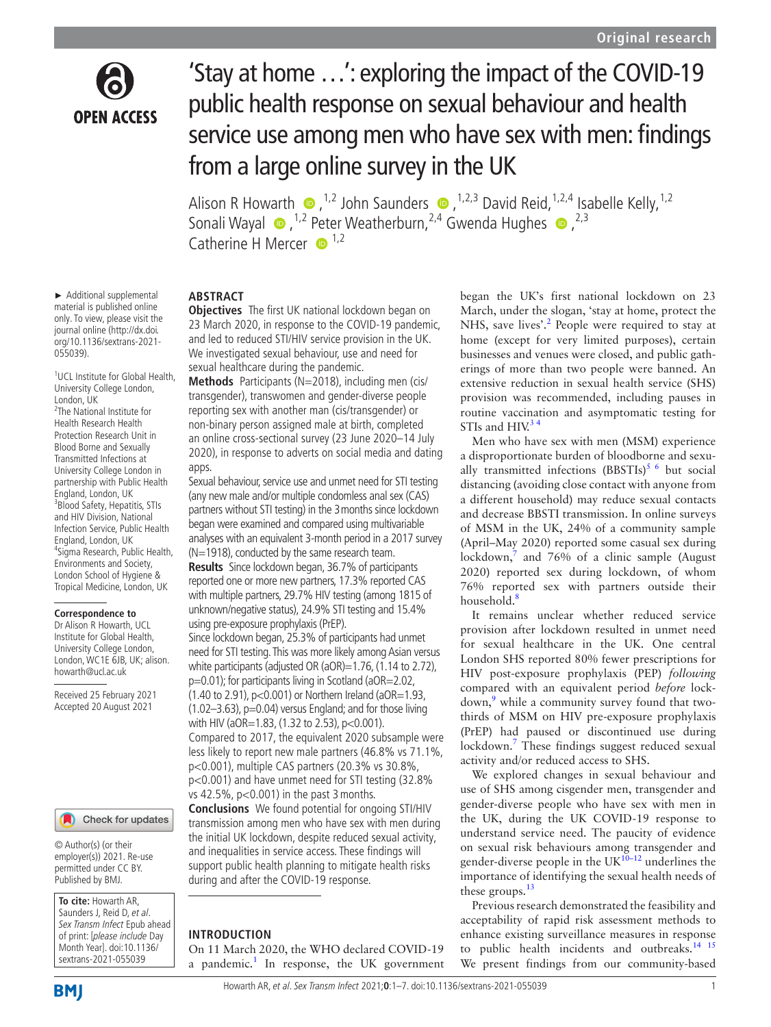

# 'Stay at home …': exploring the impact of the COVID-19 public health response on sexual behaviour and health service use among men who have sex with men: findings from a large online survey in the UK

AlisonR Howarth  $\bullet$ , <sup>1,2</sup> John Saunders  $\bullet$ , <sup>1,2,3</sup> David Reid, <sup>1,2,4</sup> Isabelle Kelly, <sup>1,2</sup> SonaliWayal  $\bullet$ , <sup>1,2</sup> Peter Weatherburn, <sup>2,4</sup> Gwenda Hughes  $\bullet$ , <sup>2,3</sup> Catherine H Mercer  $\mathbf{D}^{1,2}$ 

## **ABSTRACT**

**Objectives** The first UK national lockdown began on 23 March 2020, in response to the COVID-19 pandemic, and led to reduced STI/HIV service provision in the UK. We investigated sexual behaviour, use and need for sexual healthcare during the pandemic.

**Methods** Participants (N=2018), including men (cis/ transgender), transwomen and gender-diverse people reporting sex with another man (cis/transgender) or non-binary person assigned male at birth, completed an online cross-sectional survey (23 June 2020–14 July 2020), in response to adverts on social media and dating apps.

Sexual behaviour, service use and unmet need for STI testing (any new male and/or multiple condomless anal sex (CAS) partners without STI testing) in the 3months since lockdown began were examined and compared using multivariable analyses with an equivalent 3-month period in a 2017 survey (N=1918), conducted by the same research team.

**Results** Since lockdown began, 36.7% of participants reported one or more new partners, 17.3% reported CAS with multiple partners, 29.7% HIV testing (among 1815 of unknown/negative status), 24.9% STI testing and 15.4% using pre-exposure prophylaxis (PrEP).

Since lockdown began, 25.3% of participants had unmet need for STI testing. This was more likely among Asian versus white participants (adjusted OR (aOR)=1.76, (1.14 to 2.72),

p=0.01); for participants living in Scotland (aOR=2.02, (1.40 to 2.91), p<0.001) or Northern Ireland (aOR=1.93,  $(1.02-3.63)$ , p=0.04) versus England; and for those living with HIV (aOR=1.83, (1.32 to 2.53), p<0.001). Compared to 2017, the equivalent 2020 subsample were less likely to report new male partners (46.8% vs 71.1%, p<0.001), multiple CAS partners (20.3% vs 30.8%, p<0.001) and have unmet need for STI testing (32.8% vs 42.5%, p<0.001) in the past 3months.

**Conclusions** We found potential for ongoing STI/HIV transmission among men who have sex with men during the initial UK lockdown, despite reduced sexual activity, and inequalities in service access. These findings will support public health planning to mitigate health risks during and after the COVID-19 response.

#### **INTRODUCTION**

On 11 March 2020, the WHO declared COVID-19 a pandemic.<sup>[1](#page-5-0)</sup> In response, the UK government began the UK's first national lockdown on 23 March, under the slogan, 'stay at home, protect the NHS, save lives'.<sup>[2](#page-5-1)</sup> People were required to stay at home (except for very limited purposes), certain businesses and venues were closed, and public gatherings of more than two people were banned. An extensive reduction in sexual health service (SHS) provision was recommended, including pauses in routine vaccination and asymptomatic testing for STIs and  $HIN<sup>34</sup>$ 

Men who have sex with men (MSM) experience a disproportionate burden of bloodborne and sexually transmitted infections  $(BBSTIs)^{5/6}$  but social distancing (avoiding close contact with anyone from a different household) may reduce sexual contacts and decrease BBSTI transmission. In online surveys of MSM in the UK, 24% of a community sample (April–May 2020) reported some casual sex during lockdown,<sup>[7](#page-5-4)</sup> and 76% of a clinic sample (August 2020) reported sex during lockdown, of whom 76% reported sex with partners outside their household.<sup>8</sup>

It remains unclear whether reduced service provision after lockdown resulted in unmet need for sexual healthcare in the UK. One central London SHS reported 80% fewer prescriptions for HIV post-exposure prophylaxis (PEP) *following* compared with an equivalent period *before* lock-down,<sup>[9](#page-5-6)</sup> while a community survey found that twothirds of MSM on HIV pre-exposure prophylaxis (PrEP) had paused or discontinued use during lockdown.<sup>7</sup> These findings suggest reduced sexual activity and/or reduced access to SHS.

We explored changes in sexual behaviour and use of SHS among cisgender men, transgender and gender-diverse people who have sex with men in the UK, during the UK COVID-19 response to understand service need. The paucity of evidence on sexual risk behaviours among transgender and gender-diverse people in the  $UK^{10-12}$  underlines the importance of identifying the sexual health needs of these groups. $13$ 

Previous research demonstrated the feasibility and acceptability of rapid risk assessment methods to enhance existing surveillance measures in response to public health incidents and outbreaks.<sup>14</sup> <sup>15</sup> We present findings from our community-based

► Additional supplemental material is published online only. To view, please visit the journal online ([http://dx.doi.](http://dx.doi.org/10.1136/sextrans-2021-055039) [org/10.1136/sextrans-2021-](http://dx.doi.org/10.1136/sextrans-2021-055039) [055039](http://dx.doi.org/10.1136/sextrans-2021-055039)).

1 UCL Institute for Global Health, University College London, London, UK <sup>2</sup>The National Institute for Health Research Health Protection Research Unit in Blood Borne and Sexually Transmitted Infections at University College London in partnership with Public Health England, London, UK <sup>3</sup> Blood Safety, Hepatitis, STIs and HIV Division, National Infection Service, Public Health England, London, UK 4 Sigma Research, Public Health, Environments and Society, London School of Hygiene & Tropical Medicine, London, UK

#### **Correspondence to**

Dr Alison R Howarth, UCL Institute for Global Health, University College London, London, WC1E 6JB, UK; alison. howarth@ucl.ac.uk

Received 25 February 2021 Accepted 20 August 2021

#### Check for updates

© Author(s) (or their employer(s)) 2021. Re-use permitted under CC BY. Published by BMJ.

**To cite:** Howarth AR, Saunders J, Reid D, et al. Sex Transm Infect Epub ahead of print: [please include Day Month Year]. doi:10.1136/ sextrans-2021-055039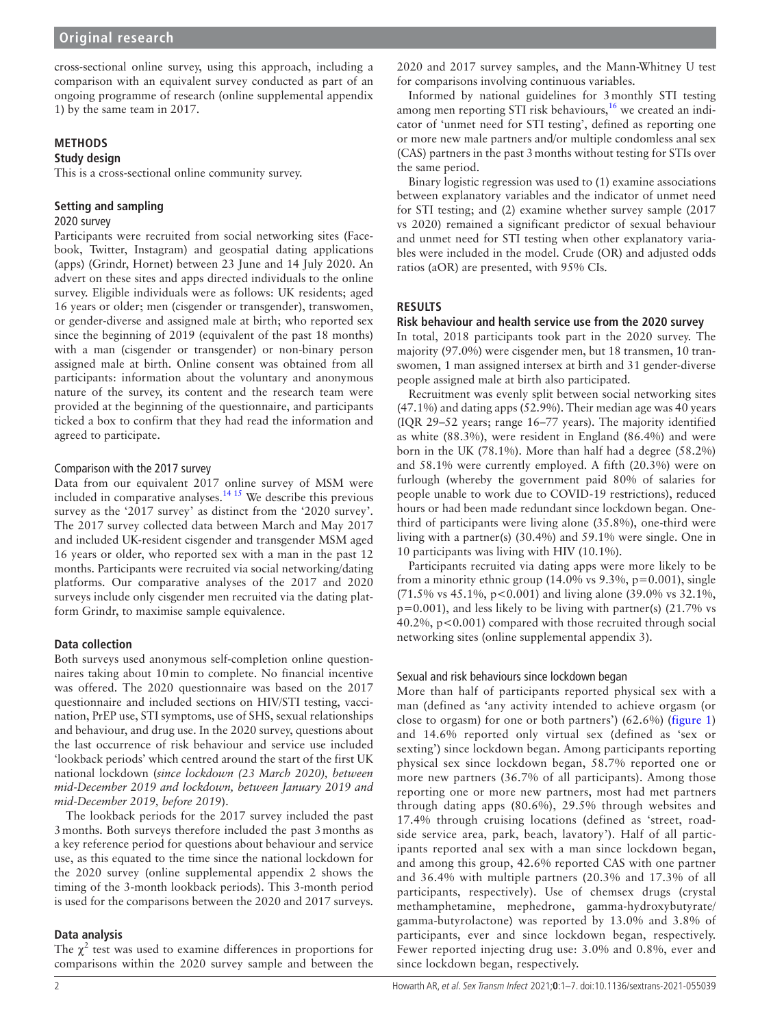cross-sectional online survey, using this approach, including a comparison with an equivalent survey conducted as part of an ongoing programme of research ([online supplemental appendix](https://dx.doi.org/10.1136/sextrans-2021-055039)  [1](https://dx.doi.org/10.1136/sextrans-2021-055039)) by the same team in 2017.

# **METHODS**

# **Study design**

This is a cross-sectional online community survey.

# **Setting and sampling**

# 2020 survey

Participants were recruited from social networking sites (Facebook, Twitter, Instagram) and geospatial dating applications (apps) (Grindr, Hornet) between 23 June and 14 July 2020. An advert on these sites and apps directed individuals to the online survey. Eligible individuals were as follows: UK residents; aged 16 years or older; men (cisgender or transgender), transwomen, or gender-diverse and assigned male at birth; who reported sex since the beginning of 2019 (equivalent of the past 18 months) with a man (cisgender or transgender) or non-binary person assigned male at birth. Online consent was obtained from all participants: information about the voluntary and anonymous nature of the survey, its content and the research team were provided at the beginning of the questionnaire, and participants ticked a box to confirm that they had read the information and agreed to participate.

## Comparison with the 2017 survey

Data from our equivalent 2017 online survey of MSM were included in comparative analyses[.14 15](#page-5-9) We describe this previous survey as the '2017 survey' as distinct from the '2020 survey'. The 2017 survey collected data between March and May 2017 and included UK-resident cisgender and transgender MSM aged 16 years or older, who reported sex with a man in the past 12 months. Participants were recruited via social networking/dating platforms. Our comparative analyses of the 2017 and 2020 surveys include only cisgender men recruited via the dating platform Grindr, to maximise sample equivalence.

## **Data collection**

Both surveys used anonymous self-completion online questionnaires taking about 10min to complete. No financial incentive was offered. The 2020 questionnaire was based on the 2017 questionnaire and included sections on HIV/STI testing, vaccination, PrEP use, STI symptoms, use of SHS, sexual relationships and behaviour, and drug use. In the 2020 survey, questions about the last occurrence of risk behaviour and service use included 'lookback periods' which centred around the start of the first UK national lockdown (*since lockdown (23 March 2020), between mid-December 2019 and lockdown, between January 2019 and mid-December 2019, before 2019*).

The lookback periods for the 2017 survey included the past 3months. Both surveys therefore included the past 3months as a key reference period for questions about behaviour and service use, as this equated to the time since the national lockdown for the 2020 survey ([online supplemental appendix 2](https://dx.doi.org/10.1136/sextrans-2021-055039) shows the timing of the 3-month lookback periods). This 3-month period is used for the comparisons between the 2020 and 2017 surveys.

# **Data analysis**

The  $\chi^2$  test was used to examine differences in proportions for comparisons within the 2020 survey sample and between the

2020 and 2017 survey samples, and the Mann-Whitney U test for comparisons involving continuous variables.

Informed by national guidelines for 3monthly STI testing among men reporting STI risk behaviours,<sup>16</sup> we created an indicator of 'unmet need for STI testing', defined as reporting one or more new male partners and/or multiple condomless anal sex (CAS) partners in the past 3months without testing for STIs over the same period.

Binary logistic regression was used to (1) examine associations between explanatory variables and the indicator of unmet need for STI testing; and (2) examine whether survey sample (2017 vs 2020) remained a significant predictor of sexual behaviour and unmet need for STI testing when other explanatory variables were included in the model. Crude (OR) and adjusted odds ratios (aOR) are presented, with 95% CIs.

# **RESULTS**

## **Risk behaviour and health service use from the 2020 survey**

In total, 2018 participants took part in the 2020 survey. The majority (97.0%) were cisgender men, but 18 transmen, 10 transwomen, 1 man assigned intersex at birth and 31 gender-diverse people assigned male at birth also participated.

Recruitment was evenly split between social networking sites (47.1%) and dating apps (52.9%). Their median age was 40 years (IQR 29–52 years; range 16–77 years). The majority identified as white (88.3%), were resident in England (86.4%) and were born in the UK (78.1%). More than half had a degree (58.2%) and 58.1% were currently employed. A fifth (20.3%) were on furlough (whereby the government paid 80% of salaries for people unable to work due to COVID-19 restrictions), reduced hours or had been made redundant since lockdown began. Onethird of participants were living alone (35.8%), one-third were living with a partner(s) (30.4%) and 59.1% were single. One in 10 participants was living with HIV (10.1%).

Participants recruited via dating apps were more likely to be from a minority ethnic group  $(14.0\% \text{ vs } 9.3\%, \text{ p} = 0.001),$  single (71.5% vs 45.1%, p<0.001) and living alone (39.0% vs 32.1%,  $p=0.001$ ), and less likely to be living with partner(s) (21.7% vs 40.2%, p<0.001) compared with those recruited through social networking sites [\(online supplemental appendix 3\)](https://dx.doi.org/10.1136/sextrans-2021-055039).

## Sexual and risk behaviours since lockdown began

More than half of participants reported physical sex with a man (defined as 'any activity intended to achieve orgasm (or close to orgasm) for one or both partners') (62.6%) ([figure](#page-2-0) 1) and 14.6% reported only virtual sex (defined as 'sex or sexting') since lockdown began. Among participants reporting physical sex since lockdown began, 58.7% reported one or more new partners (36.7% of all participants). Among those reporting one or more new partners, most had met partners through dating apps (80.6%), 29.5% through websites and 17.4% through cruising locations (defined as 'street, roadside service area, park, beach, lavatory'). Half of all participants reported anal sex with a man since lockdown began, and among this group, 42.6% reported CAS with one partner and 36.4% with multiple partners (20.3% and 17.3% of all participants, respectively). Use of chemsex drugs (crystal methamphetamine, mephedrone, gamma-hydroxybutyrate/ gamma-butyrolactone) was reported by 13.0% and 3.8% of participants, ever and since lockdown began, respectively. Fewer reported injecting drug use: 3.0% and 0.8%, ever and since lockdown began, respectively.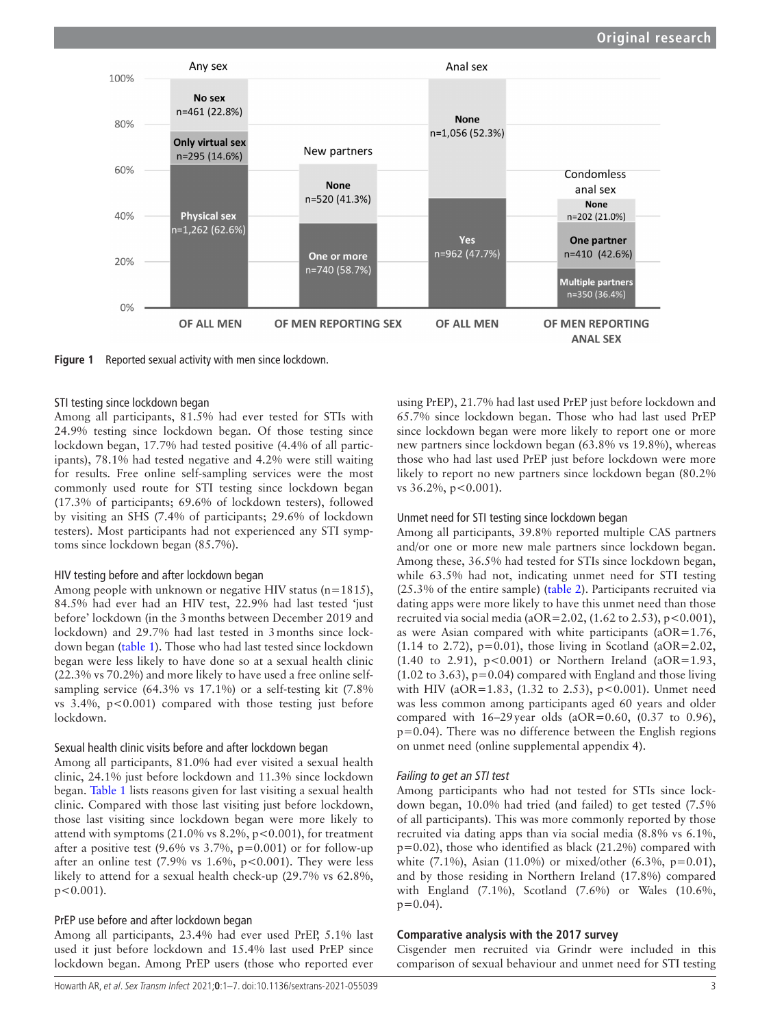

<span id="page-2-0"></span>**Figure 1** Reported sexual activity with men since lockdown.

#### STI testing since lockdown began

Among all participants, 81.5% had ever tested for STIs with 24.9% testing since lockdown began. Of those testing since lockdown began, 17.7% had tested positive (4.4% of all participants), 78.1% had tested negative and 4.2% were still waiting for results. Free online self-sampling services were the most commonly used route for STI testing since lockdown began (17.3% of participants; 69.6% of lockdown testers), followed by visiting an SHS (7.4% of participants; 29.6% of lockdown testers). Most participants had not experienced any STI symptoms since lockdown began (85.7%).

#### HIV testing before and after lockdown began

Among people with unknown or negative HIV status (n=1815), 84.5% had ever had an HIV test, 22.9% had last tested 'just before' lockdown (in the 3months between December 2019 and lockdown) and 29.7% had last tested in 3months since lockdown began ([table](#page-3-0) 1). Those who had last tested since lockdown began were less likely to have done so at a sexual health clinic (22.3% vs 70.2%) and more likely to have used a free online selfsampling service (64.3% vs 17.1%) or a self-testing kit (7.8% vs  $3.4\%$ ,  $p < 0.001$ ) compared with those testing just before lockdown.

#### Sexual health clinic visits before and after lockdown began

Among all participants, 81.0% had ever visited a sexual health clinic, 24.1% just before lockdown and 11.3% since lockdown began. [Table](#page-3-0) 1 lists reasons given for last visiting a sexual health clinic. Compared with those last visiting just before lockdown, those last visiting since lockdown began were more likely to attend with symptoms (21.0% vs  $8.2\%$ ,  $p < 0.001$ ), for treatment after a positive test  $(9.6\% \text{ vs } 3.7\%, \text{ p}=0.001)$  or for follow-up after an online test  $(7.9\% \text{ vs } 1.6\%, \text{ p} < 0.001)$ . They were less likely to attend for a sexual health check-up (29.7% vs 62.8%,  $p < 0.001$ ).

## PrEP use before and after lockdown began

Among all participants, 23.4% had ever used PrEP, 5.1% last used it just before lockdown and 15.4% last used PrEP since lockdown began. Among PrEP users (those who reported ever

using PrEP), 21.7% had last used PrEP just before lockdown and 65.7% since lockdown began. Those who had last used PrEP since lockdown began were more likely to report one or more new partners since lockdown began (63.8% vs 19.8%), whereas those who had last used PrEP just before lockdown were more likely to report no new partners since lockdown began (80.2% vs 36.2%, p<0.001).

#### Unmet need for STI testing since lockdown began

Among all participants, 39.8% reported multiple CAS partners and/or one or more new male partners since lockdown began. Among these, 36.5% had tested for STIs since lockdown began, while 63.5% had not, indicating unmet need for STI testing (25.3% of the entire sample) [\(table](#page-4-0) 2). Participants recruited via dating apps were more likely to have this unmet need than those recruited via social media ( $aOR = 2.02$ , (1.62 to 2.53),  $p < 0.001$ ), as were Asian compared with white participants (aOR=1.76,  $(1.14 \text{ to } 2.72)$ ,  $p=0.01$ ), those living in Scotland (aOR=2.02, (1.40 to 2.91),  $p < 0.001$ ) or Northern Ireland (aOR=1.93,  $(1.02 \text{ to } 3.63)$ ,  $p=0.04$ ) compared with England and those living with HIV (aOR=1.83, (1.32 to 2.53),  $p < 0.001$ ). Unmet need was less common among participants aged 60 years and older compared with  $16-29$  year olds (aOR=0.60, (0.37 to 0.96),  $p=0.04$ ). There was no difference between the English regions on unmet need [\(online supplemental appendix 4\)](https://dx.doi.org/10.1136/sextrans-2021-055039).

#### *Failing to get an STI test*

Among participants who had not tested for STIs since lockdown began, 10.0% had tried (and failed) to get tested (7.5% of all participants). This was more commonly reported by those recruited via dating apps than via social media (8.8% vs 6.1%, p=0.02), those who identified as black (21.2%) compared with white  $(7.1\%)$ , Asian  $(11.0\%)$  or mixed/other  $(6.3\%$ , p=0.01), and by those residing in Northern Ireland (17.8%) compared with England (7.1%), Scotland (7.6%) or Wales (10.6%,  $p=0.04$ ).

#### **Comparative analysis with the 2017 survey**

Cisgender men recruited via Grindr were included in this comparison of sexual behaviour and unmet need for STI testing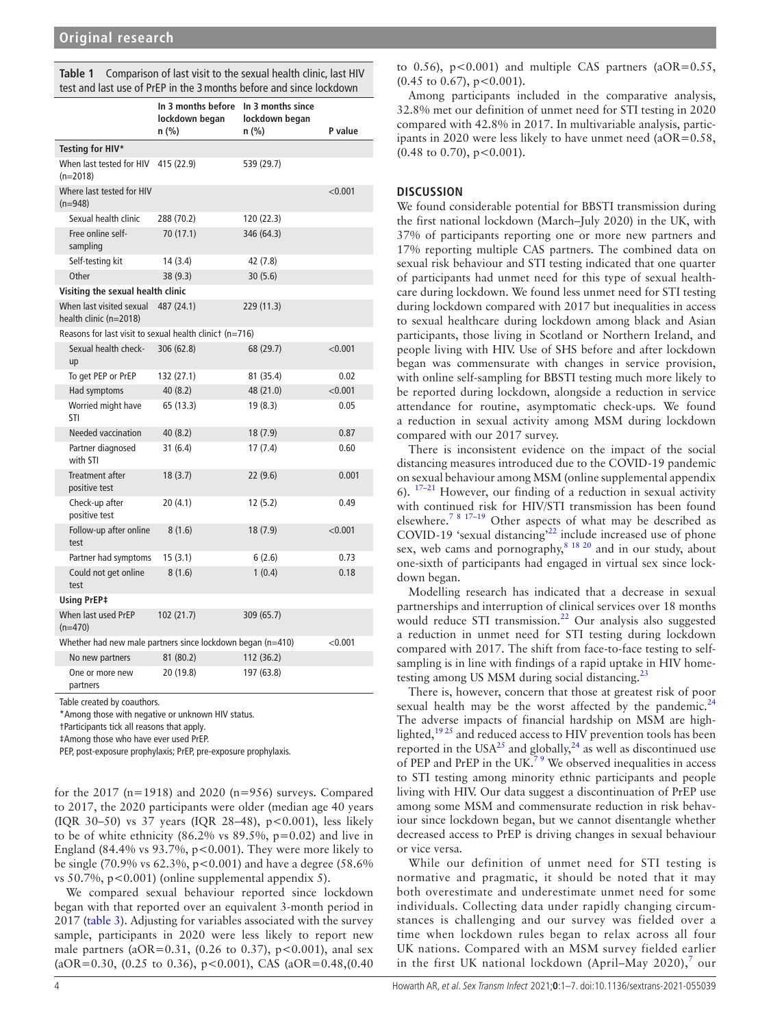<span id="page-3-0"></span>

| Table 1 | Comparison of last visit to the sexual health clinic, last HIV      |
|---------|---------------------------------------------------------------------|
|         | test and last use of PrEP in the 3 months before and since lockdown |

|                                                            | In 3 months before<br>lockdown began<br>n (%) | In 3 months since<br>lockdown began<br>n (%) | P value |
|------------------------------------------------------------|-----------------------------------------------|----------------------------------------------|---------|
| Testing for HIV*                                           |                                               |                                              |         |
| When last tested for HIV<br>$(n=2018)$                     | 415 (22.9)                                    | 539 (29.7)                                   |         |
| Where last tested for HIV<br>$(n=948)$                     |                                               |                                              | < 0.001 |
| Sexual health clinic                                       | 288 (70.2)                                    | 120 (22.3)                                   |         |
| Free online self-<br>sampling                              | 70 (17.1)                                     | 346 (64.3)                                   |         |
| Self-testing kit                                           | 14 (3.4)                                      | 42 (7.8)                                     |         |
| Other                                                      | 38(9.3)                                       | 30(5.6)                                      |         |
| Visiting the sexual health clinic                          |                                               |                                              |         |
| When last visited sexual<br>health clinic (n=2018)         | 487 (24.1)                                    | 229 (11.3)                                   |         |
| Reasons for last visit to sexual health clinict $(n=716)$  |                                               |                                              |         |
| Sexual health check-<br>up                                 | 306 (62.8)                                    | 68 (29.7)                                    | < 0.001 |
| To get PEP or PrEP                                         | 132 (27.1)                                    | 81 (35.4)                                    | 0.02    |
| Had symptoms                                               | 40 (8.2)                                      | 48 (21.0)                                    | < 0.001 |
| Worried might have<br>STI                                  | 65 (13.3)                                     | 19(8.3)                                      | 0.05    |
| <b>Needed vaccination</b>                                  | 40(8.2)                                       | 18(7.9)                                      | 0.87    |
| Partner diagnosed<br>with STI                              | 31(6.4)                                       | 17(7.4)                                      | 0.60    |
| Treatment after<br>positive test                           | 18(3.7)                                       | 22(9.6)                                      | 0.001   |
| Check-up after<br>positive test                            | 20(4.1)                                       | 12(5.2)                                      | 0.49    |
| Follow-up after online<br>test                             | 8(1.6)                                        | 18(7.9)                                      | < 0.001 |
| Partner had symptoms                                       | 15(3.1)                                       | 6(2.6)                                       | 0.73    |
| Could not get online<br>test                               | 8(1.6)                                        | 1(0.4)                                       | 0.18    |
| <b>Using PrEP‡</b>                                         |                                               |                                              |         |
| When last used PrEP<br>$(n=470)$                           | 102 (21.7)                                    | 309 (65.7)                                   |         |
| Whether had new male partners since lockdown began (n=410) |                                               |                                              | < 0.001 |
| No new partners                                            | 81 (80.2)                                     | 112 (36.2)                                   |         |
| One or more new<br>partners                                | 20 (19.8)                                     | 197 (63.8)                                   |         |

Table created by coauthors.

\*Among those with negative or unknown HIV status.

†Participants tick all reasons that apply.

‡Among those who have ever used PrEP.

PEP, post-exposure prophylaxis; PrEP, pre-exposure prophylaxis.

for the 2017 (n=1918) and 2020 (n=956) surveys. Compared to 2017, the 2020 participants were older (median age 40 years (IQR 30–50) vs 37 years (IQR 28–48), p<0.001), less likely to be of white ethnicity (86.2% vs  $89.5\%$ , p=0.02) and live in England (84.4% vs  $93.7\%$ , p<0.001). They were more likely to be single (70.9% vs  $62.3\%$ ,  $p < 0.001$ ) and have a degree (58.6%) vs 50.7%,  $p < 0.001$ ) [\(online supplemental appendix 5](https://dx.doi.org/10.1136/sextrans-2021-055039)).

We compared sexual behaviour reported since lockdown began with that reported over an equivalent 3-month period in 2017 [\(table](#page-4-1) 3). Adjusting for variables associated with the survey sample, participants in 2020 were less likely to report new male partners (aOR=0.31, (0.26 to 0.37),  $p < 0.001$ ), anal sex (aOR=0.30, (0.25 to 0.36),  $p < 0.001$ ), CAS (aOR=0.48, (0.40)

to 0.56),  $p < 0.001$  and multiple CAS partners (aOR= $0.55$ ,  $(0.45 \text{ to } 0.67), p < 0.001$ ).

Among participants included in the comparative analysis, 32.8% met our definition of unmet need for STI testing in 2020 compared with 42.8% in 2017. In multivariable analysis, participants in 2020 were less likely to have unmet need (aOR=0.58,  $(0.48 \text{ to } 0.70), p < 0.001$ ).

#### **DISCUSSION**

We found considerable potential for BBSTI transmission during the first national lockdown (March–July 2020) in the UK, with 37% of participants reporting one or more new partners and 17% reporting multiple CAS partners. The combined data on sexual risk behaviour and STI testing indicated that one quarter of participants had unmet need for this type of sexual healthcare during lockdown. We found less unmet need for STI testing during lockdown compared with 2017 but inequalities in access to sexual healthcare during lockdown among black and Asian participants, those living in Scotland or Northern Ireland, and people living with HIV. Use of SHS before and after lockdown began was commensurate with changes in service provision, with online self-sampling for BBSTI testing much more likely to be reported during lockdown, alongside a reduction in service attendance for routine, asymptomatic check-ups. We found a reduction in sexual activity among MSM during lockdown compared with our 2017 survey.

There is inconsistent evidence on the impact of the social distancing measures introduced due to the COVID-19 pandemic on sexual behaviour among MSM ([online supplemental appendix](https://dx.doi.org/10.1136/sextrans-2021-055039) [6\)](https://dx.doi.org/10.1136/sextrans-2021-055039). [17–21](#page-5-11) However, our finding of a reduction in sexual activity with continued risk for HIV/STI transmission has been found elsewhere.[7 8 17–19](#page-5-4) Other aspects of what may be described as COVID-19 'sexual distancing'[22](#page-6-0) include increased use of phone sex, web cams and pornography, $8^{18}$   $^{20}$  and in our study, about one-sixth of participants had engaged in virtual sex since lockdown began.

Modelling research has indicated that a decrease in sexual partnerships and interruption of clinical services over 18 months would reduce STI transmission. $^{22}$  Our analysis also suggested a reduction in unmet need for STI testing during lockdown compared with 2017. The shift from face-to-face testing to selfsampling is in line with findings of a rapid uptake in HIV hometesting among US MSM during social distancing.<sup>2</sup>

There is, however, concern that those at greatest risk of poor sexual health may be the worst affected by the pandemic. $24$ The adverse impacts of financial hardship on MSM are highlighted,<sup>1925</sup> and reduced access to HIV prevention tools has been reported in the USA<sup>25</sup> and globally,  $^{24}$  as well as discontinued use of PEP and PrEP in the UK.<sup>79</sup> We observed inequalities in access to STI testing among minority ethnic participants and people living with HIV. Our data suggest a discontinuation of PrEP use among some MSM and commensurate reduction in risk behaviour since lockdown began, but we cannot disentangle whether decreased access to PrEP is driving changes in sexual behaviour or vice versa.

While our definition of unmet need for STI testing is normative and pragmatic, it should be noted that it may both overestimate and underestimate unmet need for some individuals. Collecting data under rapidly changing circumstances is challenging and our survey was fielded over a time when lockdown rules began to relax across all four UK nations. Compared with an MSM survey fielded earlier in the first UK national lockdown (April–May 2020),<sup>[7](#page-5-4)</sup> our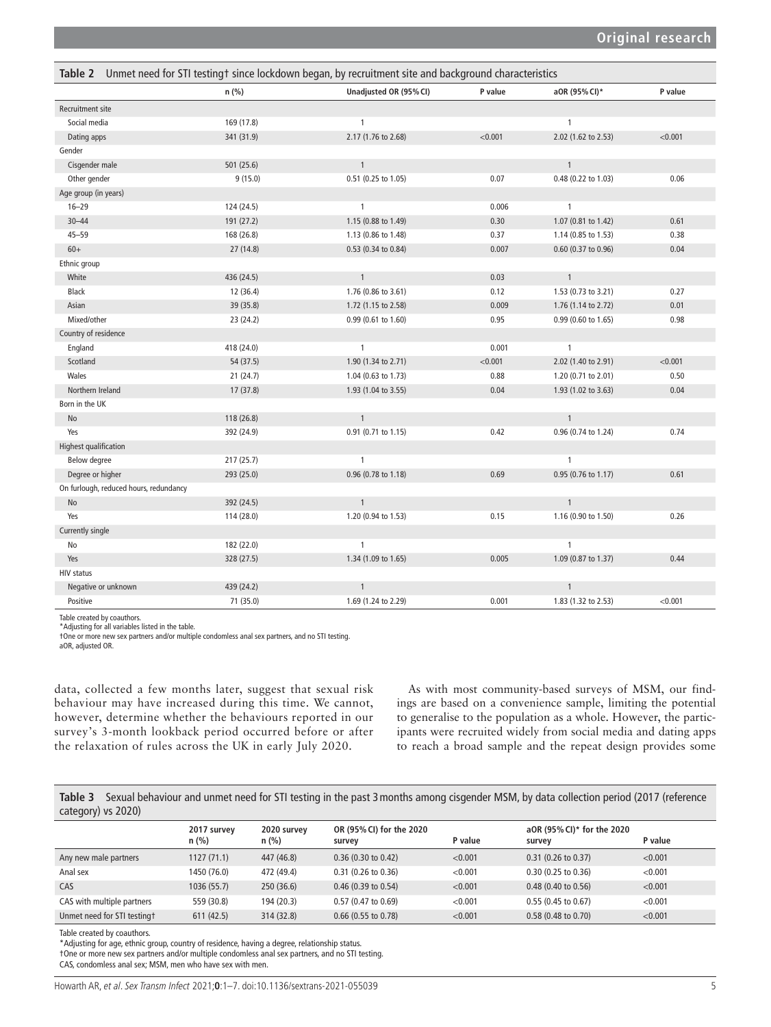<span id="page-4-0"></span>

| Unmet need for STI testing† since lockdown began, by recruitment site and background characteristics<br>Table 2 |            |                        |         |                     |         |  |  |
|-----------------------------------------------------------------------------------------------------------------|------------|------------------------|---------|---------------------|---------|--|--|
|                                                                                                                 | n (%)      | Unadjusted OR (95% CI) | P value | aOR (95% CI)*       | P value |  |  |
| Recruitment site                                                                                                |            |                        |         |                     |         |  |  |
| Social media                                                                                                    | 169 (17.8) | $\mathbf{1}$           |         | $\mathbf{1}$        |         |  |  |
| Dating apps                                                                                                     | 341 (31.9) | 2.17 (1.76 to 2.68)    | < 0.001 | 2.02 (1.62 to 2.53) | < 0.001 |  |  |
| Gender                                                                                                          |            |                        |         |                     |         |  |  |
| Cisgender male                                                                                                  | 501 (25.6) | $\mathbf{1}$           |         | $\mathbf{1}$        |         |  |  |
| Other gender                                                                                                    | 9(15.0)    | 0.51 (0.25 to 1.05)    | 0.07    | 0.48 (0.22 to 1.03) | 0.06    |  |  |
| Age group (in years)                                                                                            |            |                        |         |                     |         |  |  |
| $16 - 29$                                                                                                       | 124 (24.5) | $\mathbf{1}$           | 0.006   | $\mathbf{1}$        |         |  |  |
| $30 - 44$                                                                                                       | 191 (27.2) | 1.15 (0.88 to 1.49)    | 0.30    | 1.07 (0.81 to 1.42) | 0.61    |  |  |
| $45 - 59$                                                                                                       | 168 (26.8) | 1.13 (0.86 to 1.48)    | 0.37    | 1.14 (0.85 to 1.53) | 0.38    |  |  |
| $60+$                                                                                                           | 27(14.8)   | 0.53 (0.34 to 0.84)    | 0.007   | 0.60 (0.37 to 0.96) | 0.04    |  |  |
| Ethnic group                                                                                                    |            |                        |         |                     |         |  |  |
| White                                                                                                           | 436 (24.5) | $\mathbf{1}$           | 0.03    | $\mathbf{1}$        |         |  |  |
| Black                                                                                                           | 12 (36.4)  | 1.76 (0.86 to 3.61)    | 0.12    | 1.53 (0.73 to 3.21) | 0.27    |  |  |
| Asian                                                                                                           | 39 (35.8)  | 1.72 (1.15 to 2.58)    | 0.009   | 1.76 (1.14 to 2.72) | 0.01    |  |  |
| Mixed/other                                                                                                     | 23 (24.2)  | 0.99 (0.61 to 1.60)    | 0.95    | 0.99 (0.60 to 1.65) | 0.98    |  |  |
| Country of residence                                                                                            |            |                        |         |                     |         |  |  |
| England                                                                                                         | 418 (24.0) | $\mathbf{1}$           | 0.001   | $\mathbf{1}$        |         |  |  |
| Scotland                                                                                                        | 54 (37.5)  | 1.90 (1.34 to 2.71)    | < 0.001 | 2.02 (1.40 to 2.91) | < 0.001 |  |  |
| Wales                                                                                                           | 21(24.7)   | 1.04 (0.63 to 1.73)    | 0.88    | 1.20 (0.71 to 2.01) | 0.50    |  |  |
| Northern Ireland                                                                                                | 17(37.8)   | 1.93 (1.04 to 3.55)    | 0.04    | 1.93 (1.02 to 3.63) | 0.04    |  |  |
| Born in the UK                                                                                                  |            |                        |         |                     |         |  |  |
| No                                                                                                              | 118 (26.8) | $\mathbf{1}$           |         | $\mathbf{1}$        |         |  |  |
| Yes                                                                                                             | 392 (24.9) | 0.91 (0.71 to 1.15)    | 0.42    | 0.96 (0.74 to 1.24) | 0.74    |  |  |
| Highest qualification                                                                                           |            |                        |         |                     |         |  |  |
| Below degree                                                                                                    | 217(25.7)  | $\mathbf{1}$           |         | $\mathbf{1}$        |         |  |  |
| Degree or higher                                                                                                | 293 (25.0) | 0.96 (0.78 to 1.18)    | 0.69    | 0.95 (0.76 to 1.17) | 0.61    |  |  |
| On furlough, reduced hours, redundancy                                                                          |            |                        |         |                     |         |  |  |
| No                                                                                                              | 392 (24.5) | $\mathbf{1}$           |         | $\mathbf{1}$        |         |  |  |
| Yes                                                                                                             | 114 (28.0) | 1.20 (0.94 to 1.53)    | 0.15    | 1.16 (0.90 to 1.50) | 0.26    |  |  |
| Currently single                                                                                                |            |                        |         |                     |         |  |  |
| No                                                                                                              | 182 (22.0) | $\mathbf{1}$           |         | $\mathbf{1}$        |         |  |  |
| Yes                                                                                                             | 328 (27.5) | 1.34 (1.09 to 1.65)    | 0.005   | 1.09 (0.87 to 1.37) | 0.44    |  |  |
| <b>HIV status</b>                                                                                               |            |                        |         |                     |         |  |  |
| Negative or unknown                                                                                             | 439 (24.2) | $\mathbf{1}$           |         | $\mathbf{1}$        |         |  |  |
| Positive                                                                                                        | 71 (35.0)  | 1.69 (1.24 to 2.29)    | 0.001   | 1.83 (1.32 to 2.53) | < 0.001 |  |  |

Table created by coauthors. \*Adjusting for all variables listed in the table.

†One or more new sex partners and/or multiple condomless anal sex partners, and no STI testing. aOR, adjusted OR.

data, collected a few months later, suggest that sexual risk behaviour may have increased during this time. We cannot, however, determine whether the behaviours reported in our survey's 3-month lookback period occurred before or after the relaxation of rules across the UK in early July 2020.

As with most community-based surveys of MSM, our findings are based on a convenience sample, limiting the potential to generalise to the population as a whole. However, the participants were recruited widely from social media and dating apps to reach a broad sample and the repeat design provides some

<span id="page-4-1"></span>**Table 3** Sexual behaviour and unmet need for STI testing in the past 3months among cisgender MSM, by data collection period (2017 (reference category) vs 2020)

|                             | 2017 survey<br>$n$ (%) | 2020 survey<br>$n$ (%) | OR (95% CI) for the 2020<br>survey | P value | aOR (95% CI)* for the 2020<br>survey | P value |
|-----------------------------|------------------------|------------------------|------------------------------------|---------|--------------------------------------|---------|
| Any new male partners       | 1127(71.1)             | 447 (46.8)             | 0.36(0.30 to 0.42)                 | < 0.001 | $0.31$ (0.26 to 0.37)                | < 0.001 |
| Anal sex                    | 1450 (76.0)            | 472 (49.4)             | 0.31 (0.26 to 0.36)                | < 0.001 | 0.30 (0.25 to 0.36)                  | < 0.001 |
| CAS                         | 1036(55.7)             | 250(36.6)              | $0.46(0.39)$ to $0.54$ )           | < 0.001 | $0.48$ (0.40 to 0.56)                | < 0.001 |
| CAS with multiple partners  | 559 (30.8)             | 194 (20.3)             | $0.57(0.47)$ to $0.69$             | < 0.001 | $0.55(0.45)$ to $0.67$ )             | < 0.001 |
| Unmet need for STI testingt | 611(42.5)              | 314 (32.8)             | $0.66$ (0.55 to 0.78)              | < 0.001 | 0.58 (0.48 to 0.70)                  | < 0.001 |

Table created by coauthors.

\*Adjusting for age, ethnic group, country of residence, having a degree, relationship status.

†One or more new sex partners and/or multiple condomless anal sex partners, and no STI testing.

CAS, condomless anal sex; MSM, men who have sex with men.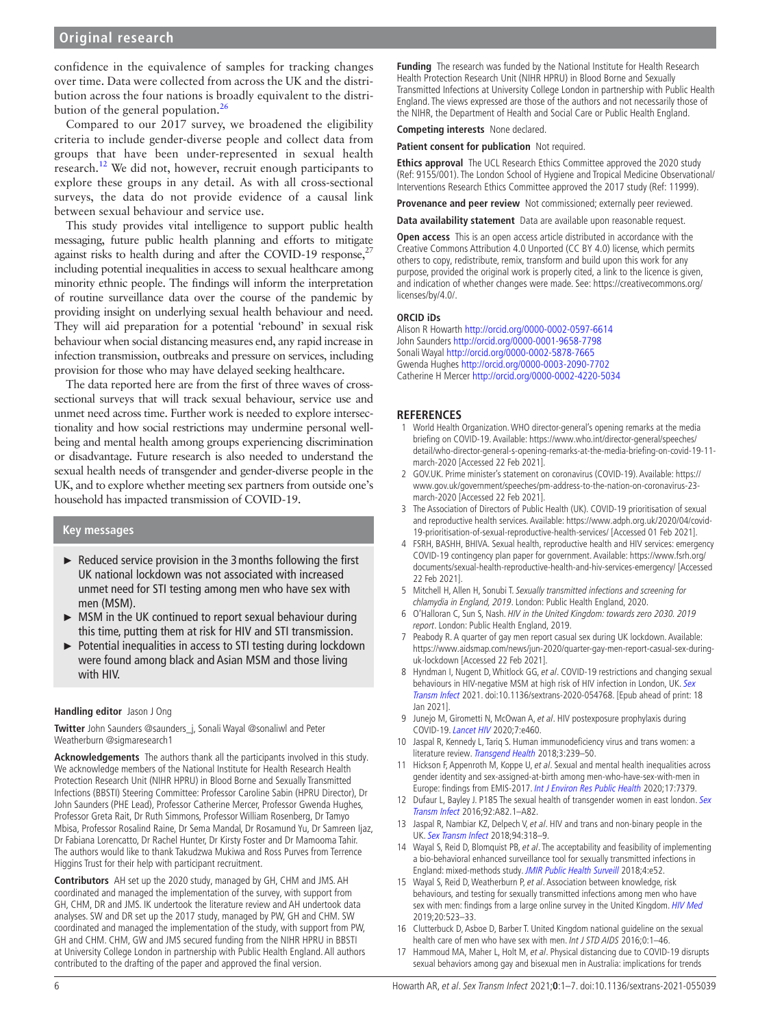confidence in the equivalence of samples for tracking changes over time. Data were collected from across the UK and the distribution across the four nations is broadly equivalent to the distri-bution of the general population.<sup>[26](#page-6-5)</sup>

Compared to our 2017 survey, we broadened the eligibility criteria to include gender-diverse people and collect data from groups that have been under-represented in sexual health research.<sup>12</sup> We did not, however, recruit enough participants to explore these groups in any detail. As with all cross-sectional surveys, the data do not provide evidence of a causal link between sexual behaviour and service use.

This study provides vital intelligence to support public health messaging, future public health planning and efforts to mitigate against risks to health during and after the COVID-19 response, $2$ including potential inequalities in access to sexual healthcare among minority ethnic people. The findings will inform the interpretation of routine surveillance data over the course of the pandemic by providing insight on underlying sexual health behaviour and need. They will aid preparation for a potential 'rebound' in sexual risk behaviour when social distancing measures end, any rapid increase in infection transmission, outbreaks and pressure on services, including provision for those who may have delayed seeking healthcare.

The data reported here are from the first of three waves of crosssectional surveys that will track sexual behaviour, service use and unmet need across time. Further work is needed to explore intersectionality and how social restrictions may undermine personal wellbeing and mental health among groups experiencing discrimination or disadvantage. Future research is also needed to understand the sexual health needs of transgender and gender-diverse people in the UK, and to explore whether meeting sex partners from outside one's household has impacted transmission of COVID-19.

#### **Key messages**

- ► Reduced service provision in the 3months following the first UK national lockdown was not associated with increased unmet need for STI testing among men who have sex with men (MSM).
- ► MSM in the UK continued to report sexual behaviour during this time, putting them at risk for HIV and STI transmission.
- ► Potential inequalities in access to STI testing during lockdown were found among black and Asian MSM and those living with HIV.

#### **Handling editor** Jason J Ong

**Twitter** John Saunders [@saunders\\_j,](https://twitter.com/saunders_j) Sonali Wayal [@sonaliwl](https://twitter.com/sonaliwl) and Peter Weatherburn [@sigmaresearch1](https://twitter.com/sigmaresearch1)

**Acknowledgements** The authors thank all the participants involved in this study. We acknowledge members of the National Institute for Health Research Health Protection Research Unit (NIHR HPRU) in Blood Borne and Sexually Transmitted Infections (BBSTI) Steering Committee: Professor Caroline Sabin (HPRU Director), Dr John Saunders (PHE Lead), Professor Catherine Mercer, Professor Gwenda Hughes, Professor Greta Rait, Dr Ruth Simmons, Professor William Rosenberg, Dr Tamyo Mbisa, Professor Rosalind Raine, Dr Sema Mandal, Dr Rosamund Yu, Dr Samreen Ijaz, Dr Fabiana Lorencatto, Dr Rachel Hunter, Dr Kirsty Foster and Dr Mamooma Tahir. The authors would like to thank Takudzwa Mukiwa and Ross Purves from Terrence Higgins Trust for their help with participant recruitment.

**Contributors** AH set up the 2020 study, managed by GH, CHM and JMS. AH coordinated and managed the implementation of the survey, with support from GH, CHM, DR and JMS. IK undertook the literature review and AH undertook data analyses. SW and DR set up the 2017 study, managed by PW, GH and CHM. SW coordinated and managed the implementation of the study, with support from PW, GH and CHM. CHM, GW and JMS secured funding from the NIHR HPRU in BBSTI at University College London in partnership with Public Health England. All authors contributed to the drafting of the paper and approved the final version.

**Funding** The research was funded by the National Institute for Health Research Health Protection Research Unit (NIHR HPRU) in Blood Borne and Sexually Transmitted Infections at University College London in partnership with Public Health England. The views expressed are those of the authors and not necessarily those of the NIHR, the Department of Health and Social Care or Public Health England.

#### **Competing interests** None declared.

**Patient consent for publication** Not required.

**Ethics approval** The UCL Research Ethics Committee approved the 2020 study (Ref: 9155/001). The London School of Hygiene and Tropical Medicine Observational/ Interventions Research Ethics Committee approved the 2017 study (Ref: 11999).

**Provenance and peer review** Not commissioned; externally peer reviewed.

**Data availability statement** Data are available upon reasonable request.

**Open access** This is an open access article distributed in accordance with the Creative Commons Attribution 4.0 Unported (CC BY 4.0) license, which permits others to copy, redistribute, remix, transform and build upon this work for any purpose, provided the original work is properly cited, a link to the licence is given, and indication of whether changes were made. See: [https://creativecommons.org/](https://creativecommons.org/licenses/by/4.0/) [licenses/by/4.0/.](https://creativecommons.org/licenses/by/4.0/)

#### **ORCID iDs**

Alison R Howarth<http://orcid.org/0000-0002-0597-6614> John Saunders <http://orcid.org/0000-0001-9658-7798> Sonali Wayal<http://orcid.org/0000-0002-5878-7665> Gwenda Hughes <http://orcid.org/0000-0003-2090-7702> Catherine H Mercer<http://orcid.org/0000-0002-4220-5034>

#### **REFERENCES**

- <span id="page-5-0"></span>1 World Health Organization. WHO director-general's opening remarks at the media briefing on COVID-19. Available: [https://www.who.int/director-general/speeches/](https://www.who.int/director-general/speeches/detail/who-director-general-s-opening-remarks-at-the-media-briefing-on-covid-19-11-march-2020) [detail/who-director-general-s-opening-remarks-at-the-media-briefing-on-covid-19-11](https://www.who.int/director-general/speeches/detail/who-director-general-s-opening-remarks-at-the-media-briefing-on-covid-19-11-march-2020) [march-2020](https://www.who.int/director-general/speeches/detail/who-director-general-s-opening-remarks-at-the-media-briefing-on-covid-19-11-march-2020) [Accessed 22 Feb 2021].
- <span id="page-5-1"></span>2 GOV.UK. Prime minister's statement on coronavirus (COVID-19). Available: [https://](https://www.gov.uk/government/speeches/pm-address-to-the-nation-on-coronavirus-23-march-2020) [www.gov.uk/government/speeches/pm-address-to-the-nation-on-coronavirus-23](https://www.gov.uk/government/speeches/pm-address-to-the-nation-on-coronavirus-23-march-2020) [march-2020](https://www.gov.uk/government/speeches/pm-address-to-the-nation-on-coronavirus-23-march-2020) [Accessed 22 Feb 2021].
- <span id="page-5-2"></span>3 The Association of Directors of Public Health (UK). COVID-19 prioritisation of sexual and reproductive health services. Available: [https://www.adph.org.uk/2020/04/covid-](https://www.adph.org.uk/2020/04/covid-19-prioritisation-of-sexual-reproductive-health-services/)[19-prioritisation-of-sexual-reproductive-health-services/](https://www.adph.org.uk/2020/04/covid-19-prioritisation-of-sexual-reproductive-health-services/) [Accessed 01 Feb 2021].
- 4 FSRH, BASHH, BHIVA. Sexual health, reproductive health and HIV services: emergency COVID-19 contingency plan paper for government. Available: [https://www.fsrh.org/](https://www.fsrh.org/documents/sexual-health-reproductive-health-and-hiv-services-emergency/) [documents/sexual-health-reproductive-health-and-hiv-services-emergency/](https://www.fsrh.org/documents/sexual-health-reproductive-health-and-hiv-services-emergency/) [Accessed 22 Feb 2021].
- <span id="page-5-3"></span>5 Mitchell H, Allen H, Sonubi T. Sexually transmitted infections and screening for chlamydia in England, 2019. London: Public Health England, 2020.
- 6 O'Halloran C, Sun S, Nash. HIV in the United Kingdom: towards zero 2030. 2019 report. London: Public Health England, 2019.
- <span id="page-5-4"></span>7 Peabody R. A quarter of gay men report casual sex during UK lockdown. Available: [https://www.aidsmap.com/news/jun-2020/quarter-gay-men-report-casual-sex-during](https://www.aidsmap.com/news/jun-2020/quarter-gay-men-report-casual-sex-during-uk-lockdown)[uk-lockdown](https://www.aidsmap.com/news/jun-2020/quarter-gay-men-report-casual-sex-during-uk-lockdown) [Accessed 22 Feb 2021].
- <span id="page-5-5"></span>8 Hyndman I, Nugent D, Whitlock GG, et al. COVID-19 restrictions and changing sexual behaviours in HIV-negative MSM at high risk of HIV infection in London, UK. Sex [Transm Infect](http://dx.doi.org/10.1136/sextrans-2020-054768) 2021. doi:10.1136/sextrans-2020-054768. [Epub ahead of print: 18 Jan 2021].
- <span id="page-5-6"></span>9 Junejo M, Girometti N, McOwan A, et al. HIV postexposure prophylaxis during COVID-19. [Lancet HIV](http://dx.doi.org/10.1016/S2352-3018(20)30146-6) 2020;7:e460.
- <span id="page-5-7"></span>10 Jaspal R, Kennedy L, Tariq S. Human immunodeficiency virus and trans women: a literature review. [Transgend Health](http://dx.doi.org/10.1089/trgh.2018.0005) 2018;3:239-50.
- 11 Hickson F, Appenroth M, Koppe U, et al. Sexual and mental health inequalities across gender identity and sex-assigned-at-birth among men-who-have-sex-with-men in Europe: findings from EMIS-2017. [Int J Environ Res Public Health](http://dx.doi.org/10.3390/ijerph17207379) 2020;17:7379.
- <span id="page-5-12"></span>12 Dufaur L, Bayley J. P185 The sexual health of transgender women in east london. Sex [Transm Infect](http://dx.doi.org/10.1136/sextrans-2016-052718.235) 2016;92:A82.1–A82.
- <span id="page-5-8"></span>13 Jaspal R, Nambiar KZ, Delpech V, et al. HIV and trans and non-binary people in the UK. [Sex Transm Infect](http://dx.doi.org/10.1136/sextrans-2018-053570) 2018;94:318–9.
- <span id="page-5-9"></span>14 Wayal S, Reid D, Blomquist PB, et al. The acceptability and feasibility of implementing a bio-behavioral enhanced surveillance tool for sexually transmitted infections in England: mixed-methods study. [JMIR Public Health Surveill](http://dx.doi.org/10.2196/publichealth.9010) 2018;4:e52.
- 15 Wayal S, Reid D, Weatherburn P, et al. Association between knowledge, risk behaviours, and testing for sexually transmitted infections among men who have sex with men: findings from a large online survey in the United Kingdom. [HIV Med](http://dx.doi.org/10.1111/hiv.12753) 2019;20:523–33.
- <span id="page-5-10"></span>16 Clutterbuck D, Asboe D, Barber T. United Kingdom national guideline on the sexual health care of men who have sex with men. Int J STD AIDS 2016;0:1-46.
- <span id="page-5-11"></span>17 Hammoud MA, Maher L, Holt M, et al. Physical distancing due to COVID-19 disrupts sexual behaviors among gay and bisexual men in Australia: implications for trends